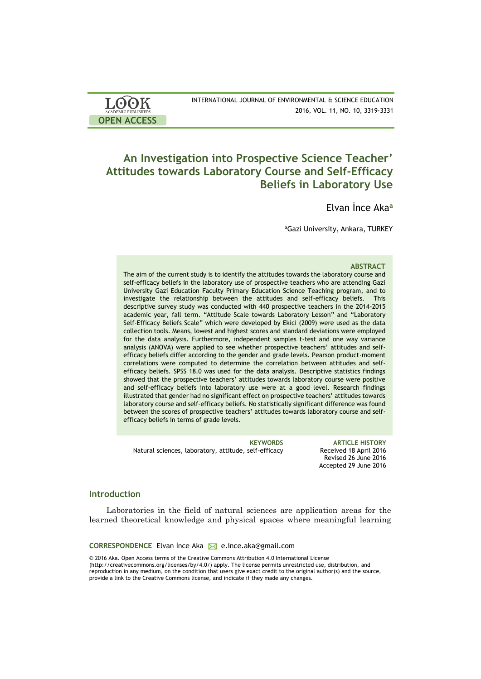| <b>LOOK</b>                | INTERNATIONAL JOURNAL OF ENVIRONMENTAL & SCIENCE EDUCATION |
|----------------------------|------------------------------------------------------------|
| <b>ACADEMIC PUBLISHERS</b> | 2016, VOL. 11, NO. 10, 3319-3331                           |
| <b>OPEN ACCESS</b>         |                                                            |

# **An Investigation into Prospective Science Teacher' Attitudes towards Laboratory Course and Self-Efficacy Beliefs in Laboratory Use**

Elvan İnce Aka**<sup>a</sup>**

<sup>a</sup>Gazi University, Ankara, TURKEY

#### **ABSTRACT**

The aim of the current study is to identify the attitudes towards the laboratory course and self-efficacy beliefs in the laboratory use of prospective teachers who are attending Gazi University Gazi Education Faculty Primary Education Science Teaching program, and to investigate the relationship between the attitudes and self-efficacy beliefs. This descriptive survey study was conducted with 440 prospective teachers in the 2014-2015 academic year, fall term. "Attitude Scale towards Laboratory Lesson" and "Laboratory Self-Efficacy Beliefs Scale" which were developed by Ekici (2009) were used as the data collection tools. Means, lowest and highest scores and standard deviations were employed for the data analysis. Furthermore, independent samples t-test and one way variance analysis (ANOVA) were applied to see whether prospective teachers' attitudes and selfefficacy beliefs differ according to the gender and grade levels. Pearson product-moment correlations were computed to determine the correlation between attitudes and selfefficacy beliefs. SPSS 18.0 was used for the data analysis. Descriptive statistics findings showed that the prospective teachers' attitudes towards laboratory course were positive and self-efficacy beliefs into laboratory use were at a good level. Research findings illustrated that gender had no significant effect on prospective teachers' attitudes towards laboratory course and self-efficacy beliefs. No statistically significant difference was found between the scores of prospective teachers' attitudes towards laboratory course and selfefficacy beliefs in terms of grade levels.

Natural sciences, laboratory, attitude, self-efficacy Received 18 April 2016

**KEYWORDS ARTICLE HISTORY** Revised 26 June 2016 Accepted 29 June 2016

# **Introduction**

Laboratories in the field of natural sciences are application areas for the learned theoretical knowledge and physical spaces where meaningful learning

**CORRESPONDENCE** Elvan İnce Aka **M** e.ince.aka@gmail.com

© 2016 Aka. Open Access terms of the Creative Commons Attribution 4.0 International License (http://creativecommons.org/licenses/by/4.0/) apply. The license permits unrestricted use, distribution, and reproduction in any medium, on the condition that users give exact credit to the original author(s) and the source, provide a link to the Creative Commons license, and indicate if they made any changes.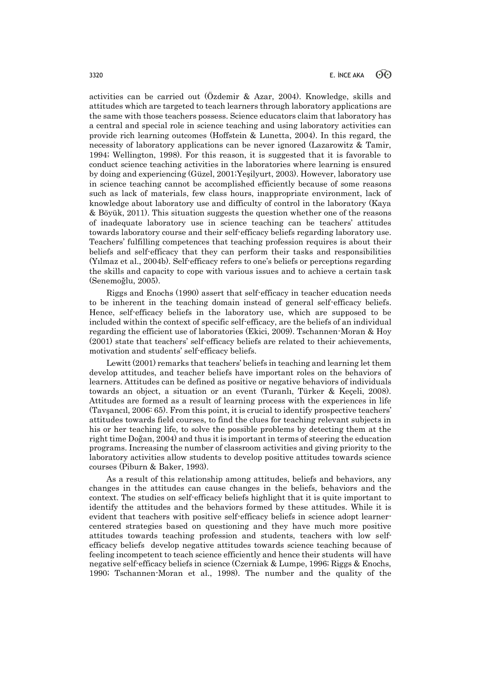activities can be carried out (Özdemir & Azar, 2004). Knowledge, skills and attitudes which are targeted to teach learners through laboratory applications are the same with those teachers possess. Science educators claim that laboratory has a central and special role in science teaching and using laboratory activities can provide rich learning outcomes (Hoffstein & Lunetta, 2004). In this regard, the necessity of laboratory applications can be never ignored (Lazarowitz & Tamir, 1994; Wellington, 1998). For this reason, it is suggested that it is favorable to conduct science teaching activities in the laboratories where learning is ensured by doing and experiencing (Güzel, 2001;Yeşilyurt, 2003). However, laboratory use in science teaching cannot be accomplished efficiently because of some reasons such as lack of materials, few class hours, inappropriate environment, lack of knowledge about laboratory use and difficulty of control in the laboratory (Kaya & Böyük, 2011). This situation suggests the question whether one of the reasons of inadequate laboratory use in science teaching can be teachers' attitudes towards laboratory course and their self-efficacy beliefs regarding laboratory use. Teachers' fulfilling competences that teaching profession requires is about their beliefs and self-efficacy that they can perform their tasks and responsibilities (Yılmaz et al., 2004b). Self-efficacy refers to one's beliefs or perceptions regarding the skills and capacity to cope with various issues and to achieve a certain task (Senemoğlu, 2005).

Riggs and Enochs (1990) assert that self-efficacy in teacher education needs to be inherent in the teaching domain instead of general self-efficacy beliefs. Hence, self-efficacy beliefs in the laboratory use, which are supposed to be included within the context of specific self-efficacy, are the beliefs of an individual regarding the efficient use of laboratories (Ekici, 2009). Tschannen-Moran & Hoy (2001) state that teachers' self-efficacy beliefs are related to their achievements, motivation and students' self-efficacy beliefs.

Lewitt (2001) remarks that teachers' beliefs in teaching and learning let them develop attitudes, and teacher beliefs have important roles on the behaviors of learners. Attitudes can be defined as positive or negative behaviors of individuals towards an object, a situation or an event (Turanlı, Türker & Keçeli, 2008). Attitudes are formed as a result of learning process with the experiences in life (Tavşancıl, 2006: 65). From this point, it is crucial to identify prospective teachers' attitudes towards field courses, to find the clues for teaching relevant subjects in his or her teaching life, to solve the possible problems by detecting them at the right time Doğan, 2004) and thus it is important in terms of steering the education programs. Increasing the number of classroom activities and giving priority to the laboratory activities allow students to develop positive attitudes towards science courses (Piburn & Baker, 1993).

As a result of this relationship among attitudes, beliefs and behaviors, any changes in the attitudes can cause changes in the beliefs, behaviors and the context. The studies on self-efficacy beliefs highlight that it is quite important to identify the attitudes and the behaviors formed by these attitudes. While it is evident that teachers with positive self-efficacy beliefs in science adopt learnercentered strategies based on questioning and they have much more positive attitudes towards teaching profession and students, teachers with low selfefficacy beliefs develop negative attitudes towards science teaching because of feeling incompetent to teach science efficiently and hence their students will have negative self-efficacy beliefs in science (Czerniak & Lumpe, 1996; Riggs & Enochs, 1990; Tschannen-Moran et al., 1998). The number and the quality of the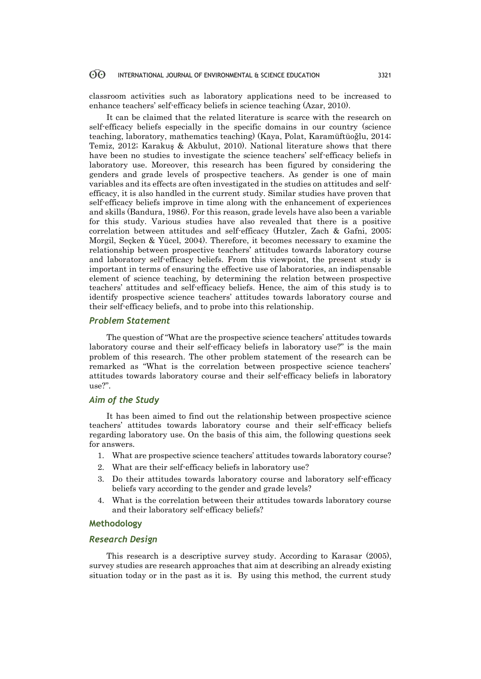classroom activities such as laboratory applications need to be increased to enhance teachers' self-efficacy beliefs in science teaching (Azar, 2010).

It can be claimed that the related literature is scarce with the research on self-efficacy beliefs especially in the specific domains in our country (science teaching, laboratory, mathematics teaching) (Kaya, Polat, Karamüftüoğlu, 2014; Temiz, 2012; Karakuş & Akbulut, 2010). National literature shows that there have been no studies to investigate the science teachers' self-efficacy beliefs in laboratory use. Moreover, this research has been figured by considering the genders and grade levels of prospective teachers. As gender is one of main variables and its effects are often investigated in the studies on attitudes and selfefficacy, it is also handled in the current study. Similar studies have proven that self-efficacy beliefs improve in time along with the enhancement of experiences and skills (Bandura, 1986). For this reason, grade levels have also been a variable for this study. Various studies have also revealed that there is a positive correlation between attitudes and self-efficacy (Hutzler, Zach & Gafni, 2005; Morgil, Seçken & Yücel, 2004). Therefore, it becomes necessary to examine the relationship between prospective teachers' attitudes towards laboratory course and laboratory self-efficacy beliefs. From this viewpoint, the present study is important in terms of ensuring the effective use of laboratories, an indispensable element of science teaching, by determining the relation between prospective teachers' attitudes and self-efficacy beliefs. Hence, the aim of this study is to identify prospective science teachers' attitudes towards laboratory course and their self-efficacy beliefs, and to probe into this relationship.

### *Problem Statement*

The question of "What are the prospective science teachers' attitudes towards laboratory course and their self-efficacy beliefs in laboratory use?" is the main problem of this research. The other problem statement of the research can be remarked as "What is the correlation between prospective science teachers' attitudes towards laboratory course and their self-efficacy beliefs in laboratory use?".

### *Aim of the Study*

It has been aimed to find out the relationship between prospective science teachers' attitudes towards laboratory course and their self-efficacy beliefs regarding laboratory use. On the basis of this aim, the following questions seek for answers.

- 1. What are prospective science teachers' attitudes towards laboratory course?
- 2. What are their self-efficacy beliefs in laboratory use?
- 3. Do their attitudes towards laboratory course and laboratory self-efficacy beliefs vary according to the gender and grade levels?
- 4. What is the correlation between their attitudes towards laboratory course and their laboratory self-efficacy beliefs?

## **Methodology**

#### *Research Design*

This research is a descriptive survey study. According to Karasar (2005), survey studies are research approaches that aim at describing an already existing situation today or in the past as it is. By using this method, the current study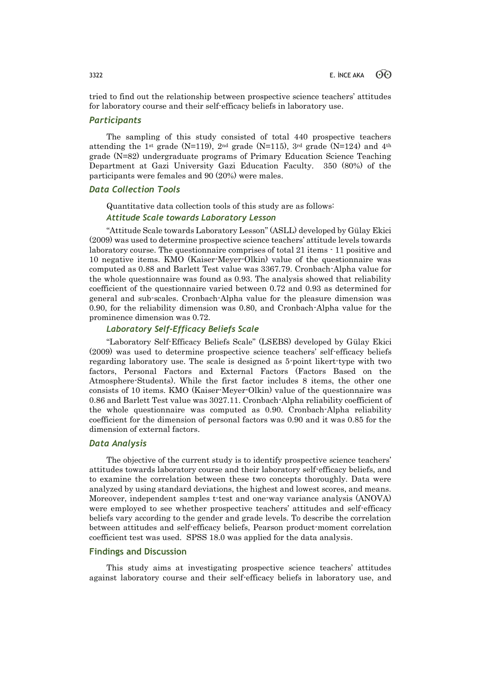tried to find out the relationship between prospective science teachers' attitudes for laboratory course and their self-efficacy beliefs in laboratory use.

# *Participants*

The sampling of this study consisted of total 440 prospective teachers attending the 1<sup>st</sup> grade (N=119), 2<sup>nd</sup> grade (N=115), 3<sup>rd</sup> grade (N=124) and 4<sup>th</sup> grade (N=82) undergraduate programs of Primary Education Science Teaching Department at Gazi University Gazi Education Faculty. 350 (80%) of the participants were females and 90 (20%) were males.

### *Data Collection Tools*

Quantitative data collection tools of this study are as follows:

# *Attitude Scale towards Laboratory Lesson*

"Attitude Scale towards Laboratory Lesson" (ASLL) developed by Gülay Ekici (2009) was used to determine prospective science teachers' attitude levels towards laboratory course. The questionnaire comprises of total 21 items - 11 positive and 10 negative items. KMO (Kaiser-Meyer-Olkin) value of the questionnaire was computed as 0.88 and Barlett Test value was 3367.79. Cronbach-Alpha value for the whole questionnaire was found as 0.93. The analysis showed that reliability coefficient of the questionnaire varied between 0.72 and 0.93 as determined for general and sub-scales. Cronbach-Alpha value for the pleasure dimension was 0.90, for the reliability dimension was 0.80, and Cronbach-Alpha value for the prominence dimension was 0.72.

### *Laboratory Self-Efficacy Beliefs Scale*

"Laboratory Self-Efficacy Beliefs Scale" (LSEBS) developed by Gülay Ekici (2009) was used to determine prospective science teachers' self-efficacy beliefs regarding laboratory use. The scale is designed as 5-point likert-type with two factors, Personal Factors and External Factors (Factors Based on the Atmosphere-Students). While the first factor includes 8 items, the other one consists of 10 items. KMO (Kaiser-Meyer-Olkin) value of the questionnaire was 0.86 and Barlett Test value was 3027.11. Cronbach-Alpha reliability coefficient of the whole questionnaire was computed as 0.90. Cronbach-Alpha reliability coefficient for the dimension of personal factors was 0.90 and it was 0.85 for the dimension of external factors.

### *Data Analysis*

The objective of the current study is to identify prospective science teachers' attitudes towards laboratory course and their laboratory self-efficacy beliefs, and to examine the correlation between these two concepts thoroughly. Data were analyzed by using standard deviations, the highest and lowest scores, and means. Moreover, independent samples t-test and one-way variance analysis (ANOVA) were employed to see whether prospective teachers' attitudes and self-efficacy beliefs vary according to the gender and grade levels. To describe the correlation between attitudes and self-efficacy beliefs, Pearson product-moment correlation coefficient test was used. SPSS 18.0 was applied for the data analysis.

# **Findings and Discussion**

This study aims at investigating prospective science teachers' attitudes against laboratory course and their self-efficacy beliefs in laboratory use, and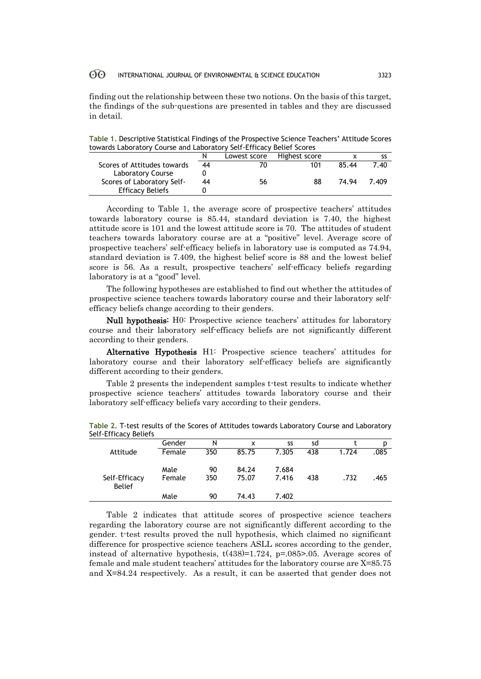finding out the relationship between these two notions. On the basis of this target, the findings of the sub-questions are presented in tables and they are discussed in detail.

**Table 1.** Descriptive Statistical Findings of the Prospective Science Teachers' Attitude Scores towards Laboratory Course and Laboratory Self-Efficacy Belief Scores

|                             |    | Lowest score | Highest score |       |       |
|-----------------------------|----|--------------|---------------|-------|-------|
| Scores of Attitudes towards | 44 | 70           | 101           | 85.44 | 7.40  |
| Laboratory Course           |    |              |               |       |       |
| Scores of Laboratory Self-  | 44 | 56           | 88            | 74.94 | 7.409 |
| <b>Efficacy Beliefs</b>     |    |              |               |       |       |

According to Table 1, the average score of prospective teachers' attitudes towards laboratory course is 85.44, standard deviation is 7.40, the highest attitude score is 101 and the lowest attitude score is 70. The attitudes of student teachers towards laboratory course are at a "positive" level. Average score of prospective teachers' self-efficacy beliefs in laboratory use is computed as 74.94, standard deviation is 7.409, the highest belief score is 88 and the lowest belief score is 56. As a result, prospective teachers' self-efficacy beliefs regarding laboratory is at a "good" level.

The following hypotheses are established to find out whether the attitudes of prospective science teachers towards laboratory course and their laboratory selfefficacy beliefs change according to their genders.

Null hypothesis: H0: Prospective science teachers' attitudes for laboratory course and their laboratory self-efficacy beliefs are not significantly different according to their genders.

Alternative Hypothesis H1: Prospective science teachers' attitudes for laboratory course and their laboratory self-efficacy beliefs are significantly different according to their genders.

Table 2 presents the independent samples t-test results to indicate whether prospective science teachers' attitudes towards laboratory course and their laboratory self-efficacy beliefs vary according to their genders.

| pelt-Efficacy Beliefs          |        |     |       |       |     |       |      |
|--------------------------------|--------|-----|-------|-------|-----|-------|------|
|                                | Gender | N   | x     | SS    | sd  |       | p    |
| Attitude                       | Female | 350 | 85.75 | 7.305 | 438 | 1.724 | .085 |
|                                | Male   | 90  | 84.24 | 7.684 |     |       |      |
| Self-Efficacy<br><b>Belief</b> | Female | 350 | 75.07 | 7.416 | 438 | .732  | .465 |
|                                | Male   | 90  | 74.43 | 7.402 |     |       |      |

**Table 2.** T-test results of the Scores of Attitudes towards Laboratory Course and Laboratory Self-

Table 2 indicates that attitude scores of prospective science teachers regarding the laboratory course are not significantly different according to the gender. t-test results proved the null hypothesis, which claimed no significant difference for prospective science teachers ASLL scores according to the gender, instead of alternative hypothesis,  $t(438)=1.724$ ,  $p=.085>0.05$ . Average scores of female and male student teachers' attitudes for the laboratory course are X=85.75 and X=84.24 respectively. As a result, it can be asserted that gender does not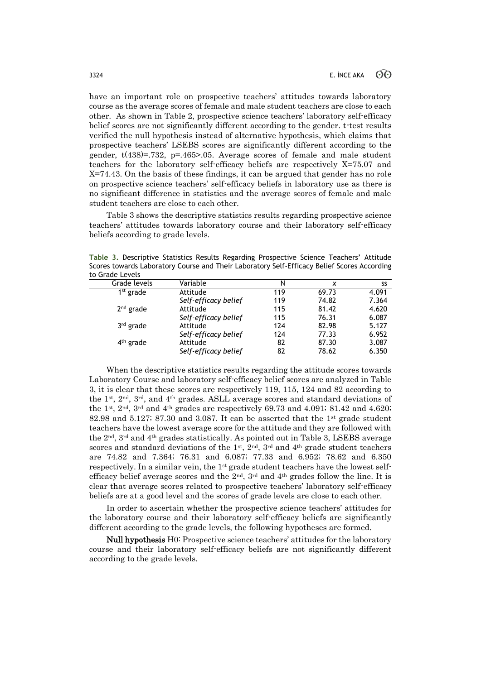have an important role on prospective teachers' attitudes towards laboratory course as the average scores of female and male student teachers are close to each other. As shown in Table 2, prospective science teachers' laboratory self-efficacy belief scores are not significantly different according to the gender. t-test results verified the null hypothesis instead of alternative hypothesis, which claims that prospective teachers' LSEBS scores are significantly different according to the gender,  $t(438)=732$ ,  $p=.465>0.05$ . Average scores of female and male student teachers for the laboratory self-efficacy beliefs are respectively X=75.07 and X=74.43. On the basis of these findings, it can be argued that gender has no role on prospective science teachers' self-efficacy beliefs in laboratory use as there is no significant difference in statistics and the average scores of female and male student teachers are close to each other.

Table 3 shows the descriptive statistics results regarding prospective science teachers' attitudes towards laboratory course and their laboratory self-efficacy beliefs according to grade levels.

**Table 3.** Descriptive Statistics Results Regarding Prospective Science Teachers' Attitude Scores towards Laboratory Course and Their Laboratory Self-Efficacy Belief Scores According to Grade Levels

| נט טו מעכ בכיכוז |                      |     |       |       |
|------------------|----------------------|-----|-------|-------|
| Grade levels     | Variable             | N   | x     | SS    |
| $1st$ grade      | Attitude             | 119 | 69.73 | 4.091 |
|                  | Self-efficacy belief | 119 | 74.82 | 7.364 |
| $2nd$ grade      | Attitude             | 115 | 81.42 | 4.620 |
|                  | Self-efficacy belief | 115 | 76.31 | 6.087 |
| $3rd$ grade      | Attitude             | 124 | 82.98 | 5.127 |
|                  | Self-efficacy belief | 124 | 77.33 | 6.952 |
| $4th$ grade      | Attitude             | 82  | 87.30 | 3.087 |
|                  | Self-efficacy belief | 82  | 78.62 | 6.350 |
|                  |                      |     |       |       |

When the descriptive statistics results regarding the attitude scores towards Laboratory Course and laboratory self-efficacy belief scores are analyzed in Table 3, it is clear that these scores are respectively 119, 115, 124 and 82 according to the  $1^{st}$ ,  $2^{nd}$ ,  $3^{rd}$ , and  $4^{th}$  grades. ASLL average scores and standard deviations of the 1<sup>st</sup>, 2<sup>nd</sup>, 3<sup>rd</sup> and 4<sup>th</sup> grades are respectively 69.73 and 4.091; 81.42 and 4.620; 82.98 and 5.127; 87.30 and 3.087. It can be asserted that the  $1<sup>st</sup>$  grade student teachers have the lowest average score for the attitude and they are followed with the  $2<sup>nd</sup>$ ,  $3<sup>rd</sup>$  and  $4<sup>th</sup>$  grades statistically. As pointed out in Table 3, LSEBS average scores and standard deviations of the 1st, 2<sup>nd</sup>, 3<sup>rd</sup> and 4<sup>th</sup> grade student teachers are 74.82 and 7.364; 76.31 and 6.087; 77.33 and 6.952; 78.62 and 6.350 respectively. In a similar vein, the 1st grade student teachers have the lowest selfefficacy belief average scores and the  $2<sup>nd</sup>$ ,  $3<sup>rd</sup>$  and  $4<sup>th</sup>$  grades follow the line. It is clear that average scores related to prospective teachers' laboratory self-efficacy beliefs are at a good level and the scores of grade levels are close to each other.

In order to ascertain whether the prospective science teachers' attitudes for the laboratory course and their laboratory self-efficacy beliefs are significantly different according to the grade levels, the following hypotheses are formed.

Null hypothesis H0: Prospective science teachers' attitudes for the laboratory course and their laboratory self-efficacy beliefs are not significantly different according to the grade levels.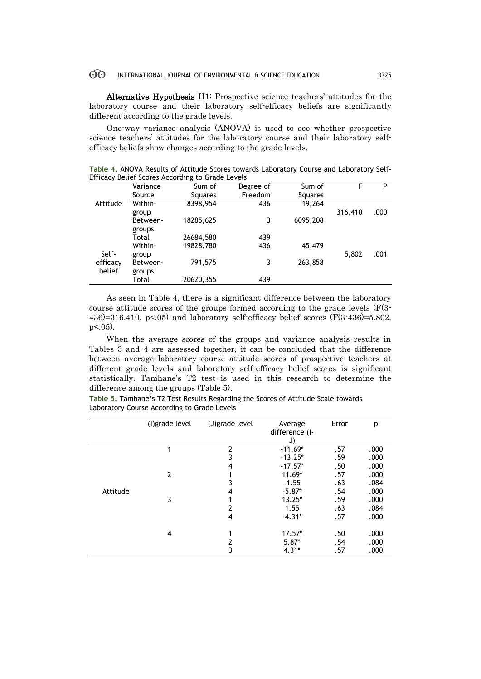Alternative Hypothesis H1: Prospective science teachers' attitudes for the laboratory course and their laboratory self-efficacy beliefs are significantly different according to the grade levels.

One-way variance analysis (ANOVA) is used to see whether prospective science teachers' attitudes for the laboratory course and their laboratory selfefficacy beliefs show changes according to the grade levels.

**Table 4.** ANOVA Results of Attitude Scores towards Laboratory Course and Laboratory Self-Efficacy Belief Scores According to Grade Levels

|          | Variance | Sum of         | Degree of | Sum of         |         | P    |
|----------|----------|----------------|-----------|----------------|---------|------|
|          | Source   | <b>Squares</b> | Freedom   | <b>Squares</b> |         |      |
| Attitude | Within-  | 8398,954       | 436       | 19.264         |         |      |
|          | group    |                |           |                | 316,410 | .000 |
|          | Between- | 18285,625      | 3         | 6095,208       |         |      |
|          | groups   |                |           |                |         |      |
|          | Total    | 26684,580      | 439       |                |         |      |
|          | Within-  | 19828,780      | 436       | 45,479         |         |      |
| Self-    | group    |                |           |                | 5,802   | .001 |
| efficacy | Between- | 791,575        | 3         | 263,858        |         |      |
| belief   | groups   |                |           |                |         |      |
|          | Total    | 20620,355      | 439       |                |         |      |

As seen in Table 4, there is a significant difference between the laboratory course attitude scores of the groups formed according to the grade levels (F(3- 436 $)=316.410$ , p<.05) and laboratory self-efficacy belief scores (F(3-436)=5.802,  $p<.05$ ).

When the average scores of the groups and variance analysis results in Tables 3 and 4 are assessed together, it can be concluded that the difference between average laboratory course attitude scores of prospective teachers at different grade levels and laboratory self-efficacy belief scores is significant statistically. Tamhane's T2 test is used in this research to determine the difference among the groups (Table 5).

**Table 5.** Tamhane's T2 Test Results Regarding the Scores of Attitude Scale towards Laboratory Course According to Grade Levels

|          | (I) grade level | (J)grade level | Average        | Error | p    |
|----------|-----------------|----------------|----------------|-------|------|
|          |                 |                | difference (I- |       |      |
|          |                 |                | J)             |       |      |
|          |                 | 2              | $-11.69*$      | .57   | .000 |
|          |                 | 3              | $-13.25*$      | .59   | .000 |
|          |                 | 4              | $-17.57*$      | .50   | .000 |
|          | 2               |                | $11.69*$       | .57   | .000 |
|          |                 |                | $-1.55$        | .63   | .084 |
| Attitude |                 | 4              | $-5.87*$       | .54   | .000 |
|          | 3               |                | $13.25*$       | .59   | .000 |
|          |                 | 2              | 1.55           | .63   | .084 |
|          |                 | 4              | $-4.31*$       | .57   | .000 |
|          |                 |                |                |       |      |
|          | 4               |                | $17.57*$       | .50   | .000 |
|          |                 | 2              | $5.87*$        | .54   | .000 |
|          |                 | 3              | $4.31*$        | .57   | .000 |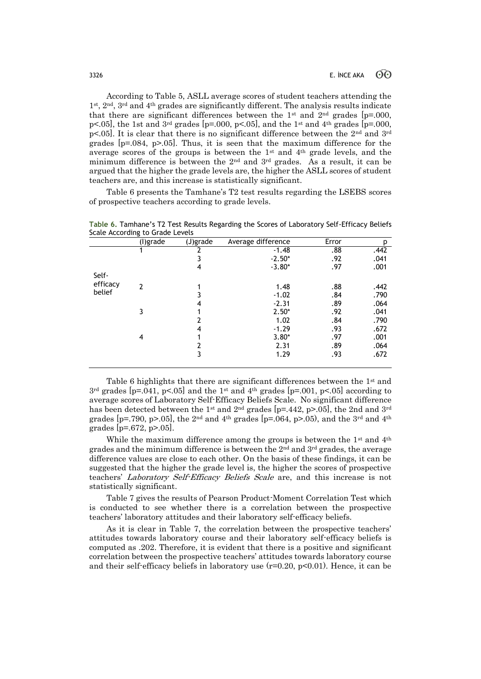According to Table 5, ASLL average scores of student teachers attending the 1st, 2nd, 3rd and 4th grades are significantly different. The analysis results indicate that there are significant differences between the 1<sup>st</sup> and 2<sup>nd</sup> grades [p=.000, p<.05], the 1st and  $3<sup>rd</sup>$  grades [p=.000, p<.05], and the 1<sup>st</sup> and 4<sup>th</sup> grades [p=.000,  $p<0.05$ . It is clear that there is no significant difference between the 2<sup>nd</sup> and 3<sup>rd</sup> grades  $[p=.084, p>.05]$ . Thus, it is seen that the maximum difference for the average scores of the groups is between the 1st and 4th grade levels, and the minimum difference is between the 2nd and 3rd grades. As a result, it can be argued that the higher the grade levels are, the higher the ASLL scores of student teachers are, and this increase is statistically significant.

Table 6 presents the Tamhane's T2 test results regarding the LSEBS scores of prospective teachers according to grade levels.

|          | ັ<br>(l)grade | (J)grade | Average difference | Error | p    |
|----------|---------------|----------|--------------------|-------|------|
|          | 1             | 2        | $-1.48$            | .88   | .442 |
|          |               | 3        | $-2.50*$           | .92   | .041 |
|          |               | 4        | $-3.80*$           | .97   | .001 |
| Self-    |               |          |                    |       |      |
| efficacy | $\mathcal{P}$ |          | 1.48               | .88   | .442 |
| belief   |               |          | $-1.02$            | .84   | .790 |
|          |               | 4        | $-2.31$            | .89   | .064 |
|          | 3             |          | $2.50*$            | .92   | .041 |
|          |               | 2        | 1.02               | .84   | .790 |
|          |               | 4        | $-1.29$            | .93   | .672 |
|          | 4             |          | $3.80*$            | .97   | .001 |
|          |               | 2        | 2.31               | .89   | .064 |
|          |               | 3        | 1.29               | .93   | .672 |

**Table 6.** Tamhane's T2 Test Results Regarding the Scores of Laboratory Self-Efficacy Beliefs Scale According to Grade Levels

Table 6 highlights that there are significant differences between the 1st and  $3<sup>rd</sup>$  grades [p=.041, p<.05] and the 1<sup>st</sup> and 4<sup>th</sup> grades [p=.001, p<.05] according to average scores of Laboratory Self-Efficacy Beliefs Scale. No significant difference has been detected between the 1<sup>st</sup> and 2<sup>nd</sup> grades [p=.442, p>.05], the 2nd and 3<sup>rd</sup> grades [p=.790, p>.05], the 2<sup>nd</sup> and 4<sup>th</sup> grades [p=.064, p>.05), and the 3<sup>rd</sup> and 4<sup>th</sup> grades  $[p=.672, p>.05]$ .

While the maximum difference among the groups is between the  $1<sup>st</sup>$  and  $4<sup>th</sup>$ grades and the minimum difference is between the  $2<sup>nd</sup>$  and  $3<sup>rd</sup>$  grades, the average difference values are close to each other. On the basis of these findings, it can be suggested that the higher the grade level is, the higher the scores of prospective teachers' Laboratory Self-Efficacy Beliefs Scale are, and this increase is not statistically significant.

Table 7 gives the results of Pearson Product-Moment Correlation Test which is conducted to see whether there is a correlation between the prospective teachers' laboratory attitudes and their laboratory self-efficacy beliefs.

As it is clear in Table 7, the correlation between the prospective teachers' attitudes towards laboratory course and their laboratory self-efficacy beliefs is computed as .202. Therefore, it is evident that there is a positive and significant correlation between the prospective teachers' attitudes towards laboratory course and their self-efficacy beliefs in laboratory use  $(r=0.20, p<0.01)$ . Hence, it can be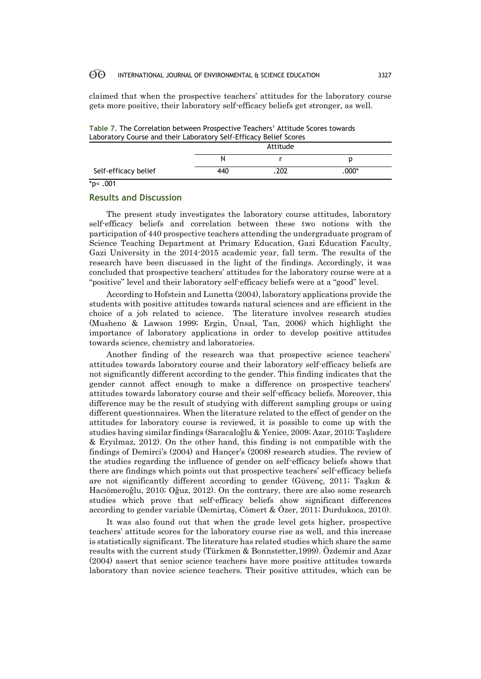claimed that when the prospective teachers' attitudes for the laboratory course gets more positive, their laboratory self-efficacy beliefs get stronger, as well.

**Table 7.** The Correlation between Prospective Teachers' Attitude Scores towards Laboratory Course and their Laboratory Self-Efficacy Belief Scores

|                      | Attitude |      |       |  |  |
|----------------------|----------|------|-------|--|--|
|                      | N        |      |       |  |  |
| Self-efficacy belief | 440      | .202 | .000* |  |  |

 $*_{p<}.001$ 

# **Results and Discussion**

The present study investigates the laboratory course attitudes, laboratory self-efficacy beliefs and correlation between these two notions with the participation of 440 prospective teachers attending the undergraduate program of Science Teaching Department at Primary Education, Gazi Education Faculty, Gazi University in the 2014-2015 academic year, fall term. The results of the research have been discussed in the light of the findings. Accordingly, it was concluded that prospective teachers' attitudes for the laboratory course were at a "positive" level and their laboratory self-efficacy beliefs were at a "good" level.

According to Hofstein and Lunetta (2004), laboratory applications provide the students with positive attitudes towards natural sciences and are efficient in the choice of a job related to science. The literature involves research studies (Musheno & Lawson 1999; Ergin, Ünsal, Tan, 2006) which highlight the importance of laboratory applications in order to develop positive attitudes towards science, chemistry and laboratories.

Another finding of the research was that prospective science teachers' attitudes towards laboratory course and their laboratory self-efficacy beliefs are not significantly different according to the gender. This finding indicates that the gender cannot affect enough to make a difference on prospective teachers' attitudes towards laboratory course and their self-efficacy beliefs. Moreover, this difference may be the result of studying with different sampling groups or using different questionnaires. When the literature related to the effect of gender on the attitudes for laboratory course is reviewed, it is possible to come up with the studies having similar findings (Saracaloğlu & Yenice, 2009; Azar, 2010; Taşlıdere & Eryılmaz, 2012). On the other hand, this finding is not compatible with the findings of Demirci's (2004) and Hançer's (2008) research studies. The review of the studies regarding the influence of gender on self-efficacy beliefs shows that there are findings which points out that prospective teachers' self-efficacy beliefs are not significantly different according to gender (Güvenç, 2011; Taşkın & Hacıömeroğlu, 2010; Oğuz, 2012). On the contrary, there are also some research studies which prove that self-efficacy beliefs show significant differences according to gender variable (Demirtaş, Cömert & Özer, 2011; Durdukoca, 2010).

It was also found out that when the grade level gets higher, prospective teachers' attitude scores for the laboratory course rise as well, and this increase is statistically significant. The literature has related studies which share the same results with the current study (Türkmen & Bonnstetter,1999). Özdemir and Azar (2004) assert that senior science teachers have more positive attitudes towards laboratory than novice science teachers. Their positive attitudes, which can be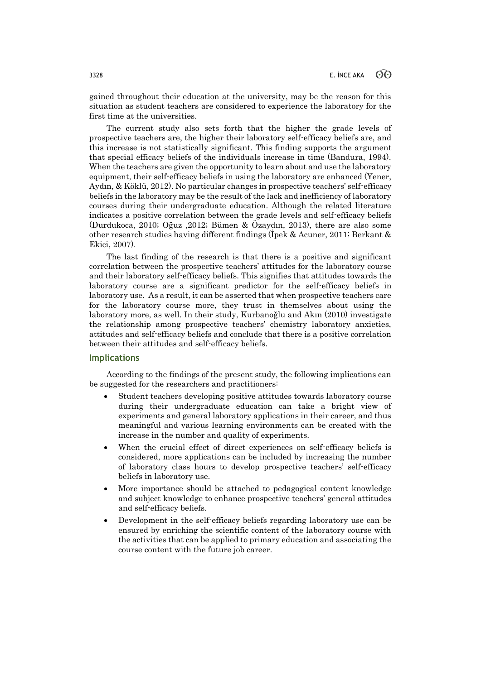gained throughout their education at the university, may be the reason for this situation as student teachers are considered to experience the laboratory for the first time at the universities.

The current study also sets forth that the higher the grade levels of prospective teachers are, the higher their laboratory self-efficacy beliefs are, and this increase is not statistically significant. This finding supports the argument that special efficacy beliefs of the individuals increase in time (Bandura, 1994). When the teachers are given the opportunity to learn about and use the laboratory equipment, their self-efficacy beliefs in using the laboratory are enhanced (Yener, Aydın, & Köklü, 2012). No particular changes in prospective teachers' self-efficacy beliefs in the laboratory may be the result of the lack and inefficiency of laboratory courses during their undergraduate education. Although the related literature indicates a positive correlation between the grade levels and self-efficacy beliefs (Durdukoca, 2010; Oğuz ,2012; Bümen & Özaydın, 2013), there are also some other research studies having different findings (İpek & Acuner, 2011; Berkant & Ekici, 2007).

The last finding of the research is that there is a positive and significant correlation between the prospective teachers' attitudes for the laboratory course and their laboratory self-efficacy beliefs. This signifies that attitudes towards the laboratory course are a significant predictor for the self-efficacy beliefs in laboratory use. As a result, it can be asserted that when prospective teachers care for the laboratory course more, they trust in themselves about using the laboratory more, as well. In their study, Kurbanoğlu and Akın (2010) investigate the relationship among prospective teachers' chemistry laboratory anxieties, attitudes and self-efficacy beliefs and conclude that there is a positive correlation between their attitudes and self-efficacy beliefs.

### **Implications**

According to the findings of the present study, the following implications can be suggested for the researchers and practitioners:

- Student teachers developing positive attitudes towards laboratory course during their undergraduate education can take a bright view of experiments and general laboratory applications in their career, and thus meaningful and various learning environments can be created with the increase in the number and quality of experiments.
- When the crucial effect of direct experiences on self-efficacy beliefs is considered, more applications can be included by increasing the number of laboratory class hours to develop prospective teachers' self-efficacy beliefs in laboratory use.
- More importance should be attached to pedagogical content knowledge and subject knowledge to enhance prospective teachers' general attitudes and self-efficacy beliefs.
- Development in the self-efficacy beliefs regarding laboratory use can be ensured by enriching the scientific content of the laboratory course with the activities that can be applied to primary education and associating the course content with the future job career.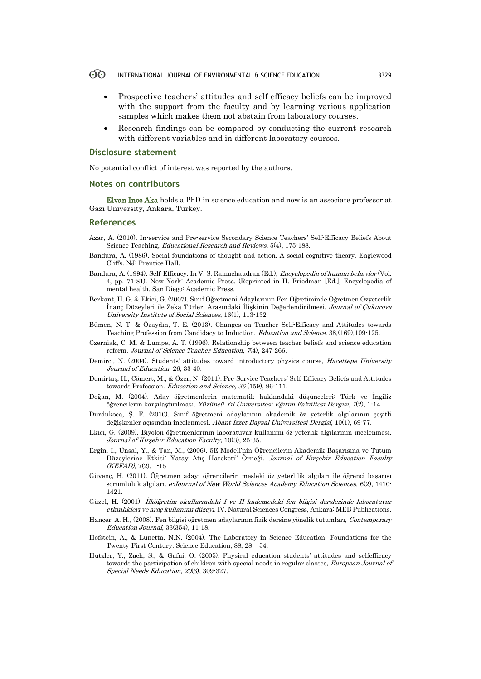- Prospective teachers' attitudes and self-efficacy beliefs can be improved with the support from the faculty and by learning various application samples which makes them not abstain from laboratory courses.
- Research findings can be compared by conducting the current research with different variables and in different laboratory courses.

#### **Disclosure statement**

No potential conflict of interest was reported by the authors.

### **Notes on contributors**

Elvan İnce Aka holds a PhD in science education and now is an associate professor at Gazi University, Ankara, Turkey.

### **References**

- Azar, A. (2010). In-service and Pre-service Secondary Science Teachers' Self-Efficacy Beliefs About Science Teaching, *Educational Research and Reviews*, 5(4), 175-188.
- Bandura, A. (1986). Social foundations of thought and action. A social cognitive theory. Englewood Cliffs. NJ: Prentice Hall.
- Bandura, A. (1994). Self-Efficacy. In V. S. Ramachaudran (Ed.), *Encyclopedia of human behavior* (Vol. 4, pp. 71-81). New York: Academic Press. (Reprinted in H. Friedman [Ed.], Encyclopedia of mental health. San Diego: Academic Press.
- Berkant, H. G. & Ekici, G. (2007). Sınıf Öğretmeni Adaylarının Fen Öğretiminde Öğretmen Özyeterlik İnanç Düzeyleri ile Zeka Türleri Arasındaki İlişkinin Değerlendirilmesi. Journal of Çukurova University Institute of Social Sciences, 16(1), 113-132.
- Bümen, N. T. & Özaydın, T. E. (2013). Changes on Teacher Self-Efficacy and Attitudes towards Teaching Profession from Candidacy to Induction. Education and Science, 38,(169),109-125.
- Czerniak, C. M. & Lumpe, A. T. (1996). Relationship between teacher beliefs and science education reform. Journal of Science Teacher Education, 7(4), 247-266.
- Demirci, N. (2004). Students' attitudes toward introductory physics course, Hacettepe University Journal of Education, 26, 33-40.
- Demirtaş, H., Cömert, M., & Özer, N. (2011). Pre-Service Teachers' Self-Efficacy Beliefs and Attitudes towards Profession. Education and Science, 36 (159), 96-111.
- Doğan, M. (2004). Aday öğretmenlerin matematik hakkındaki düşünceleri: Türk ve İngiliz öğrencilerin karşılaştırılması. Yüzüncü Yıl Üniversitesi Eğitim Fakültesi Dergisi, 1(2), 1-14.
- Durdukoca, Ş. F. (2010). Sınıf öğretmeni adaylarının akademik öz yeterlik algılarının çeşitli değişkenler açısından incelenmesi. Abant İzzet Baysal Üniversitesi Dergisi, 10(1), 69-77.
- Ekici, G. (2009). Biyoloji öğretmenlerinin laboratuvar kullanımı öz-yeterlik algılarının incelenmesi. Journal of Kırşehir Education Faculty, 10(3), 25-35.
- Ergin, İ., Ünsal, Y., & Tan, M., (2006). 5E Modeli'nin Öğrencilerin Akademik Başarısına ve Tutum Düzeylerine Etkisi: Yatay Atış Hareketi" Örneği. Journal of Kırşehir Education Faculty  $(KEFAD)$ , 7(2), 1-15
- Güvenç, H. (2011). Öğretmen adayı öğrencilerin mesleki öz yeterlilik algıları ile öğrenci başarısı sorumluluk algıları. e-Journal of New World Sciences Academy Education Sciences, 6(2), 1410-1421.
- Güzel, H. (2001). İlköğretim okullarındaki I ve II kademedeki fen bilgisi derslerinde laboratuvar etkinlikleri ve araç kullanımı düzeyi. IV. Natural Sciences Congress, Ankara: MEB Publications.
- Hançer, A. H., (2008). Fen bilgisi öğretmen adaylarının fizik dersine yönelik tutumları, Contemporary Education Journal, 33(354), 11-18.
- Hofstein, A., & Lunetta, N.N. (2004). The Laboratory in Science Education: Foundations for the Twenty-First Century. Science Education, 88, 28 – 54.
- Hutzler, Y., Zach, S., & Gafni, O. (2005). Physical education students' attitudes and selfefficacy towards the participation of children with special needs in regular classes, *European Journal of* Special Needs Education, 20(3), 309-327.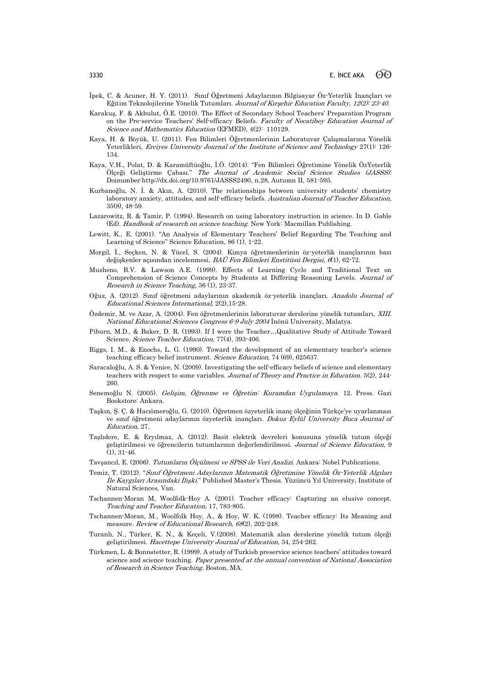- İpek, C. & Acuner, H. Y. (2011). Sınıf Öğretmeni Adaylarının Bilgisayar Öz-Yeterlik İnançları ve Eğitim Teknolojilerine Yönelik Tutumları. Journal of Kırşehir Education Faculty, 12(2): 23-40.
- Karakuş, F. & Akbulut, Ö.E. (2010). The Effect of Secondary School Teachers' Preparation Program on the Pre-service Teachers' Self-efficacy Beliefs. Faculty of Necatibey Education Journal of Science and Mathematics Education (EFMED), 4(2): 110129.
- Kaya, H. & Böyük, U. (2011). Fen Bilimleri Öğretmenlerinin Laboratuvar Çalışmalarına Yönelik Yeterlikleri, *Erciyes University Journal of the Institute of Science and Technology* 27(1): 126-134.
- Kaya, V.H., Polat, D. & Karamüftüoğlu, İ.Ö. (2014). "Fen Bilimleri Öğretimine Yönelik ÖzYeterlik Ölçeği Geliştirme Çabası." The Journal of Academic Social Science Studies (JASSS). Doinumber:http://dx.doi.org/10.9761/JASSS2490, n.28, Autumn II, 581-595.
- Kurbanoğlu, N. İ. & Akın, A. (2010). The relationships between university students' chemistry laboratory anxiety, attitudes, and self-efficacy beliefs. Australian Journal of Teacher Education, 35(8), 48-59.
- Lazarowitz, R. & Tamir, P. (1994). Research on using laboratory instruction in science. In D. Gable (Ed). Handbook of research on science teaching. New York: Macmillan Publishing.
- Lewitt, K., E. (2001). "An Analysis of Elementary Teachers' Belief Regarding The Teaching and Learning of Science" Science Education, 86 (1), 1-22.
- Morgil, İ., Seçken, N. & Yücel, S. (2004). Kimya öğretmenlerinin öz-yeterlik inançlarının bazı değişkenler açısından incelenmesi, BAÜ Fen Bilimleri Enstitüsü Dergisi, 6(1), 62-72.
- Musheno, B.V. & Lawson A.E. (1999). Effects of Learning Cycle and Traditional Text on Comprehension of Science Concepts by Students at Differing Reasoning Levels. Journal of Research in Science Teaching, 36 (1), 23-37.
- Oğuz, A. (2012). Sınıf öğretmeni adaylarının akademik öz-yeterlik inançları. Anadolu Journal of Educational Sciences International, 2(2),15-28.
- Özdemir, M. ve Azar, A. (2004). Fen öğretmenlerinin laboratuvar derslerine yönelik tutumları, XIII. National Educational Sciences Congress 6-9 July 2004 İnönü University, Malatya.
- Piburn, M.D., & Baker, D. R. (1993). If I were the Teacher…Qualitative Study of Attitude Toward Science. Science Teacher Education, 77(4), 393-406.
- Riggs, I. M., & Enochs, L. G. (1990). Toward the development of an elementary teacher's science teaching efficacy belief instrument. Science Education, 74 (69), 625637.
- Saracaloğlu, A. S. & Yenice, N. (2009). Investigating the self-efficacy beliefs of science and elementary teachers with respect to some variables. Journal of Theory and Practice in Education. 5(2), 244- 260.
- Senemoğlu N. (2005). Gelişim, Öğrenme ve Öğretim: Kuramdan Uygulamaya. 12. Press. Gazi Bookstore: Ankara.
- Taşkın, Ş. Ç. & Hacıömeroğlu, G. (2010). Öğretmen özyeterlik inanç ölçeğinin Türkçe'ye uyarlanması ve sınıf öğretmeni adaylarının özyeterlik inançları. Dokuz Eylül University Buca Journal of Education, 27.
- Taşlıdere, E. & Eryılmaz, A. (2012). Basit elektrik devreleri konusuna yönelik tutum ölçeği geliştirilmesi ve öğrencilerin tutumlarının değerlendirilmesi. Journal of Science Education, 9  $(1), 31-46.$
- Tavşancıl, E. (2006). Tutumların Ölçülmesi ve SPSS ile Veri Analizi. Ankara: Nobel Publications.
- Temiz, T. (2012). "Sınıf Öğretmeni Adaylarının Matematik Öğretimine Yönelik Öz-Yeterlik Algıları İle Kaygıları Arasındaki İlişki." Published Master's Thesis. Yüzüncü Yıl University, Institute of Natural Sciences, Van.
- Tschannen-Moran M, Woolfolk-Hoy A. (2001). Teacher efficacy: Capturing an elusive concept. Teaching and Teacher Education, 17, 783-805.
- Tschannen-Moran, M., Woolfolk Hoy, A., & Hoy, W. K. (1998). Teacher efficacy: Its Meaning and measure. Review of Educational Research, 68(2), 202-248.
- Turanlı, N., Türker, K. N., & Keçeli, V.(2008). Matematik alan derslerine yönelik tutum ölçeği geliştirilmesi. Hacettepe University Journal of Education, 34, 254-262.
- Türkmen, L. & Bonnstetter, R. (1999). A study of Turkish preservice science teachers' attitudes toward science and science teaching. Paper presented at the annual convention of National Association of Research in Science Teaching. Boston, MA.